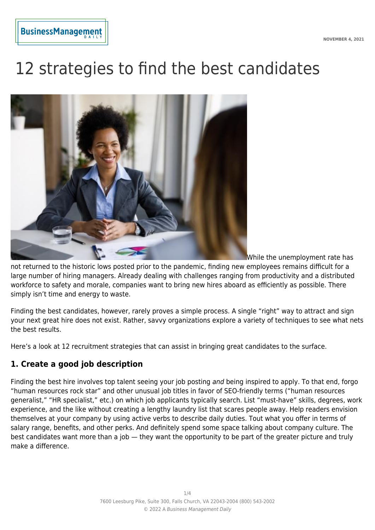# 12 strategies to find the best candidates



While the unemployment rate has

not returned to the historic lows posted prior to the pandemic, finding new employees remains difficult for a large number of hiring managers. Already dealing with challenges ranging from productivity and a distributed workforce to safety and morale, companies want to bring new hires aboard as efficiently as possible. There simply isn't time and energy to waste.

Finding the best candidates, however, rarely proves a simple process. A single "right" way to attract and sign your next great hire does not exist. Rather, savvy organizations explore a variety of techniques to see what nets the best results.

Here's a look at 12 recruitment strategies that can assist in bringing great candidates to the surface.

## **1. Create a good job description**

Finding the best hire involves top talent seeing your job posting and being inspired to apply. To that end, forgo "human resources rock star" and other unusual job titles in favor of SEO-friendly terms ("human resources generalist," "HR specialist," etc.) on which job applicants typically search. List "must-have" skills, degrees, work experience, and the like without creating a lengthy laundry list that scares people away. Help readers envision themselves at your company by using active verbs to describe daily duties. Tout what you offer in terms of salary range, benefits, and other perks. And definitely spend some space talking about company culture. The best candidates want more than a job — they want the opportunity to be part of the greater picture and truly make a difference.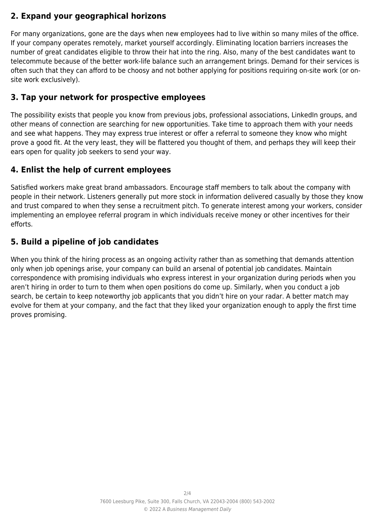# **2. Expand your geographical horizons**

For many organizations, gone are the days when new employees had to live within so many miles of the office. If your company operates remotely, market yourself accordingly. Eliminating location barriers increases the number of great candidates eligible to throw their hat into the ring. Also, many of the best candidates want to telecommute because of the better work-life balance such an arrangement brings. Demand for their services is often such that they can afford to be choosy and not bother applying for positions requiring on-site work (or onsite work exclusively).

## **3. Tap your network for prospective employees**

The possibility exists that people you know from previous jobs, professional associations, LinkedIn groups, and other means of connection are searching for new opportunities. Take time to approach them with your needs and see what happens. They may express true interest or offer a referral to someone they know who might prove a good fit. At the very least, they will be flattered you thought of them, and perhaps they will keep their ears open for quality job seekers to send your way.

## **4. Enlist the help of current employees**

Satisfied workers make great brand ambassadors. Encourage staff members to talk about the company with people in their network. Listeners generally put more stock in information delivered casually by those they know and trust compared to when they sense a recruitment pitch. To generate interest among your workers, consider implementing an employee referral program in which individuals receive money or other incentives for their efforts.

# **5. Build a pipeline of job candidates**

When you think of the hiring process as an ongoing activity rather than as something that demands attention only when job openings arise, your company can build an arsenal of potential job candidates. Maintain correspondence with promising individuals who express interest in your organization during periods when you aren't hiring in order to turn to them when open positions do come up. Similarly, when you conduct a job search, be certain to keep noteworthy job applicants that you didn't hire on your radar. A better match may evolve for them at your company, and the fact that they liked your organization enough to apply the first time proves promising.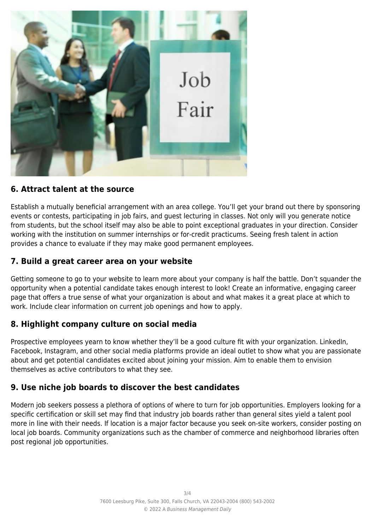

## **6. Attract talent at the source**

Establish a mutually beneficial arrangement with an area college. You'll get your brand out there by sponsoring events or contests, participating in job fairs, and guest lecturing in classes. Not only will you generate notice from students, but the school itself may also be able to point exceptional graduates in your direction. Consider working with the institution on summer internships or for-credit practicums. Seeing fresh talent in action provides a chance to evaluate if they may make good permanent employees.

## **7. Build a great career area on your website**

Getting someone to go to your website to learn more about your company is half the battle. Don't squander the opportunity when a potential candidate takes enough interest to look! Create an informative, engaging career page that offers a true sense of what your organization is about and what makes it a great place at which to work. Include clear information on current job openings and how to apply.

## **8. Highlight company culture on social media**

Prospective employees yearn to know whether they'll be a good culture fit with your organization. LinkedIn, Facebook, Instagram, and other social media platforms provide an ideal outlet to show what you are passionate about and get potential candidates excited about joining your mission. Aim to enable them to envision themselves as active contributors to what they see.

## **9. Use niche job boards to discover the best candidates**

Modern job seekers possess a plethora of options of where to turn for job opportunities. Employers looking for a specific certification or skill set may find that industry job boards rather than general sites yield a talent pool more in line with their needs. If location is a major factor because you seek on-site workers, consider posting on local job boards. Community organizations such as the chamber of commerce and neighborhood libraries often post regional job opportunities.